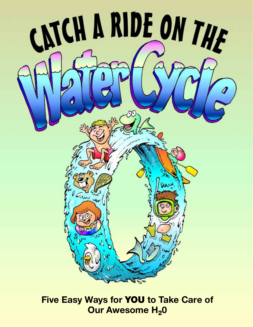

## **Five Easy Ways for** YOU **to Take Care of Our Awesome H<sub>2</sub>0**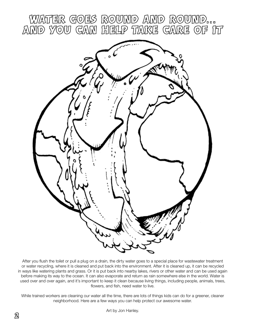

After you flush the toilet or pull a plug on a drain, the dirty water goes to a special place for wastewater treatment or water recycling, where it is cleaned and put back into the environment. After it is cleaned up, it can be recycled in ways like watering plants and grass. Or it is put back into nearby lakes, rivers or other water and can be used again before making its way to the ocean. It can also evaporate and return as rain somewhere else in the world. Water is used over and over again, and it's important to keep it clean because living things, including people, animals, trees, flowers, and fish, need water to live.

While trained workers are cleaning our water all the time, there are lots of things kids can do for a greener, cleaner neighborhood. Here are a few ways you can help protect our awesome water.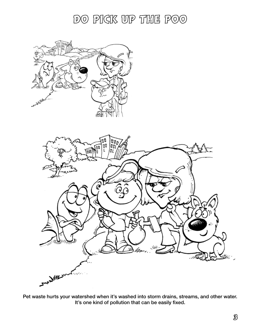DO PICK UP THE POO



Pet waste hurts your watershed when it's washed into storm drains, streams, and other water. It's one kind of pollution that can be easily fixed.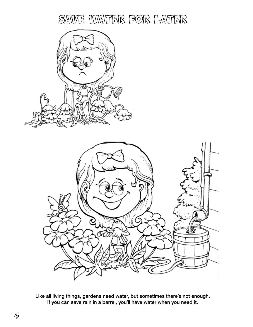## SAVE WATER FOR LATER





Like all living things, gardens need water, but sometimes there's not enough. If you can save rain in a barrel, you'll have water when you need it.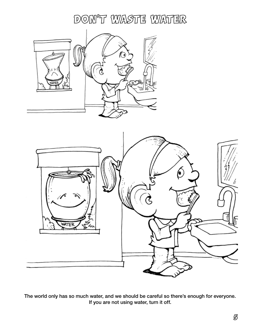DON'T WASTE WATER





The world only has so much water, and we should be careful so there's enough for everyone. If you are not using water, turn it off.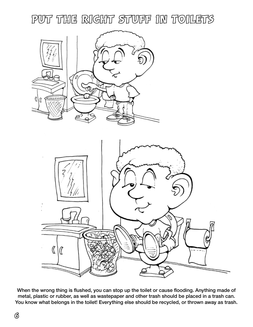PUT THE RIGHT STUFF IN TOILETS





When the wrong thing is flushed, you can stop up the toilet or cause flooding. Anything made of metal, plastic or rubber, as well as wastepaper and other trash should be placed in a trash can. You know what belongs in the toilet! Everything else should be recycled, or thrown away as trash.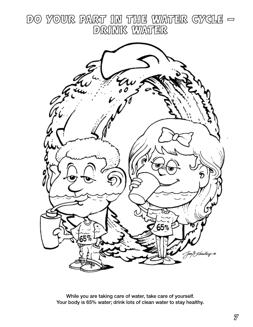DO YOUR PART IN THE WATER GYGLE -**DRINK WATER** 



While you are taking care of water, take care of yourself. Your body is 65% water; drink lots of clean water to stay healthy.